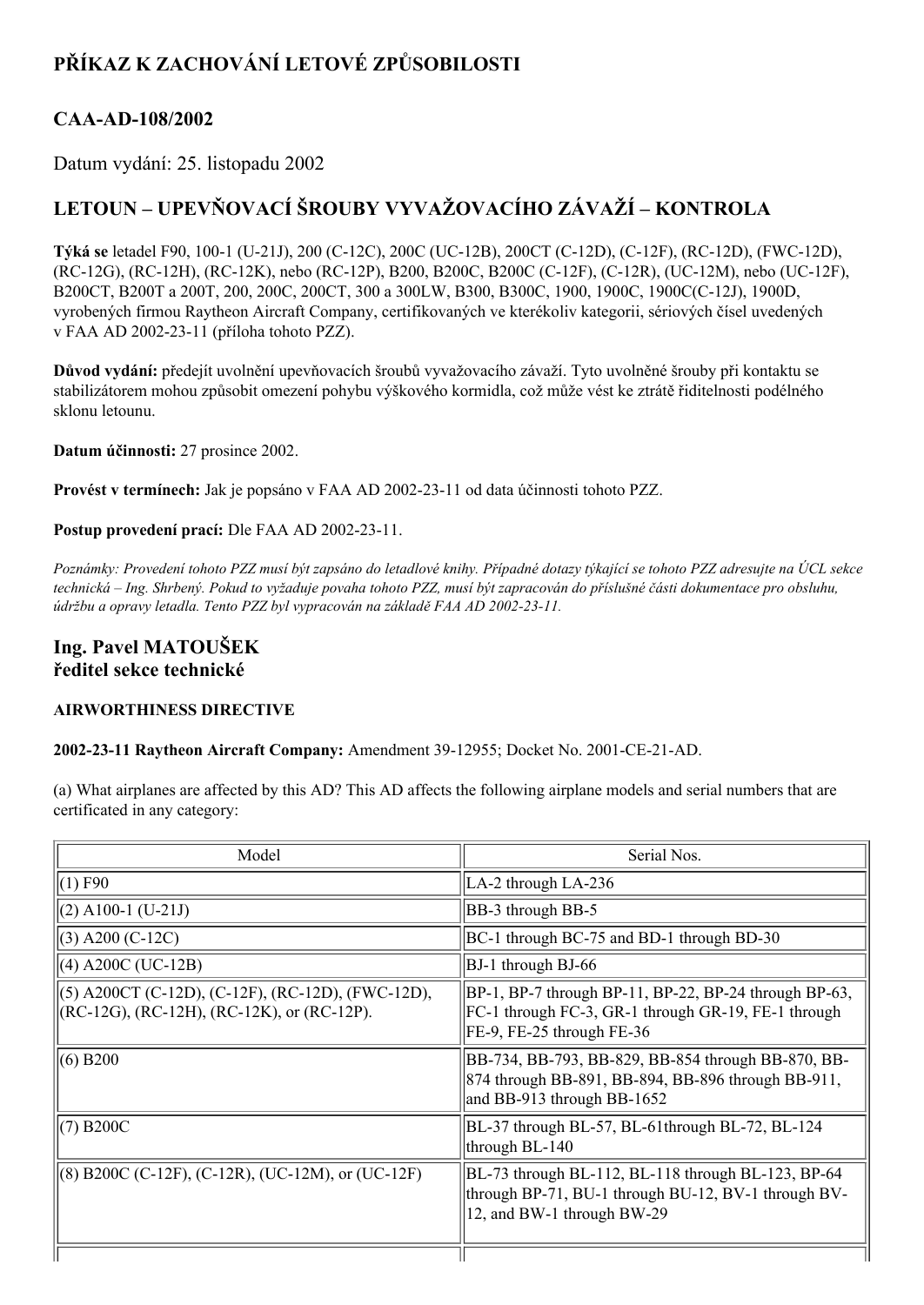## **PŘÍKAZ K ZACHOVÁNÍ LETOVÉ ZPŮSOBILOSTI**

### **CAAAD108/2002**

Datum vydání: 25. listopadu 2002

# **LETOUN – UPEVŇOVACÍ ŠROUBY VYVAŽOVACÍHO ZÁVAŽÍ – KONTROLA**

**Týká se** letadel F90, 100-1 (U-21J), 200 (C-12C), 200C (UC-12B), 200CT (C-12D), (C-12F), (RC-12D), (FWC-12D), (RC-12G), (RC-12H), (RC-12K), nebo (RC-12P), B200, B200C, B200C (C-12F), (C-12R), (UC-12M), nebo (UC-12F), B200CT, B200T a 200T, 200, 200C, 200CT, 300 a 300LW, B300, B300C, 1900, 1900C, 1900C(C12J), 1900D, vyrobených firmou Raytheon Aircraft Company, certifikovaných ve kterékoliv kategorii, sériových čísel uvedených v FAA AD 2002-23-11 (příloha tohoto PZZ).

**Důvod vydání:** předejít uvolnění upevňovacích šroubů vyvažovacího závaží. Tyto uvolněné šrouby při kontaktu se stabilizátorem mohou způsobit omezení pohybu výškového kormidla, což může vést ke ztrátě řiditelnosti podélného sklonu letounu.

**Datum účinnosti:** 27 prosince 2002.

**Provést v termínech:** Jak je popsáno v FAA AD 20022311 od data účinnosti tohoto PZZ.

**Postup provedení prací:** Dle FAA AD 2002-23-11.

Poznámky: Provedení tohoto PZZ musí být zapsáno do letadlové knihy. Případné dotazy týkající se tohoto PZZ adresujte na ÚCL sekce technická – Ing. Shrbený. Pokud to vyžaduje povaha tohoto PZZ, musí být zapracován do příslušné části dokumentace pro obsluhu, *údržbu a opravy letadla. Tento PZZ byl vypracován na základě FAA AD 20022311.*

#### **Ing. Pavel MATOUŠEK ředitel sekce technické**

#### **AIRWORTHINESS DIRECTIVE**

**2002-23-11 Raytheon Aircraft Company:** Amendment 39-12955; Docket No. 2001-CE-21-AD.

(a) What airplanes are affected by this AD? This AD affects the following airplane models and serial numbers that are certificated in any category:

| Model                                                                                              | Serial Nos.                                                                                                                               |  |
|----------------------------------------------------------------------------------------------------|-------------------------------------------------------------------------------------------------------------------------------------------|--|
| $(1)$ F90                                                                                          | LA-2 through LA-236                                                                                                                       |  |
| $(2)$ A100-1 (U-21J)                                                                               | BB-3 through BB-5                                                                                                                         |  |
| $(3)$ A200 (C-12C)                                                                                 | BC-1 through BC-75 and BD-1 through BD-30                                                                                                 |  |
| $(4)$ A200C (UC-12B)                                                                               | $ BJ-1$ through $BJ-66$                                                                                                                   |  |
| (5) A200CT (C-12D), (C-12F), (RC-12D), (FWC-12D),<br>$(RC-12G)$ , (RC-12H), (RC-12K), or (RC-12P). | BP-1, BP-7 through BP-11, BP-22, BP-24 through BP-63,<br>FC-1 through FC-3, GR-1 through GR-19, FE-1 through<br>FE-9, FE-25 through FE-36 |  |
| $(6)$ B200                                                                                         | BB-734, BB-793, BB-829, BB-854 through BB-870, BB-<br>874 through BB-891, BB-894, BB-896 through BB-911,<br>and BB-913 through BB-1652    |  |
| $(7)$ B <sub>200</sub> $C$                                                                         | BL-37 through BL-57, BL-61 through BL-72, BL-124<br>through BL-140                                                                        |  |
| $(8)$ B200C (C-12F), (C-12R), (UC-12M), or (UC-12F)                                                | BL-73 through BL-112, BL-118 through BL-123, BP-64<br>through BP-71, BU-1 through BU-12, BV-1 through BV-<br>12, and BW-1 through BW-29   |  |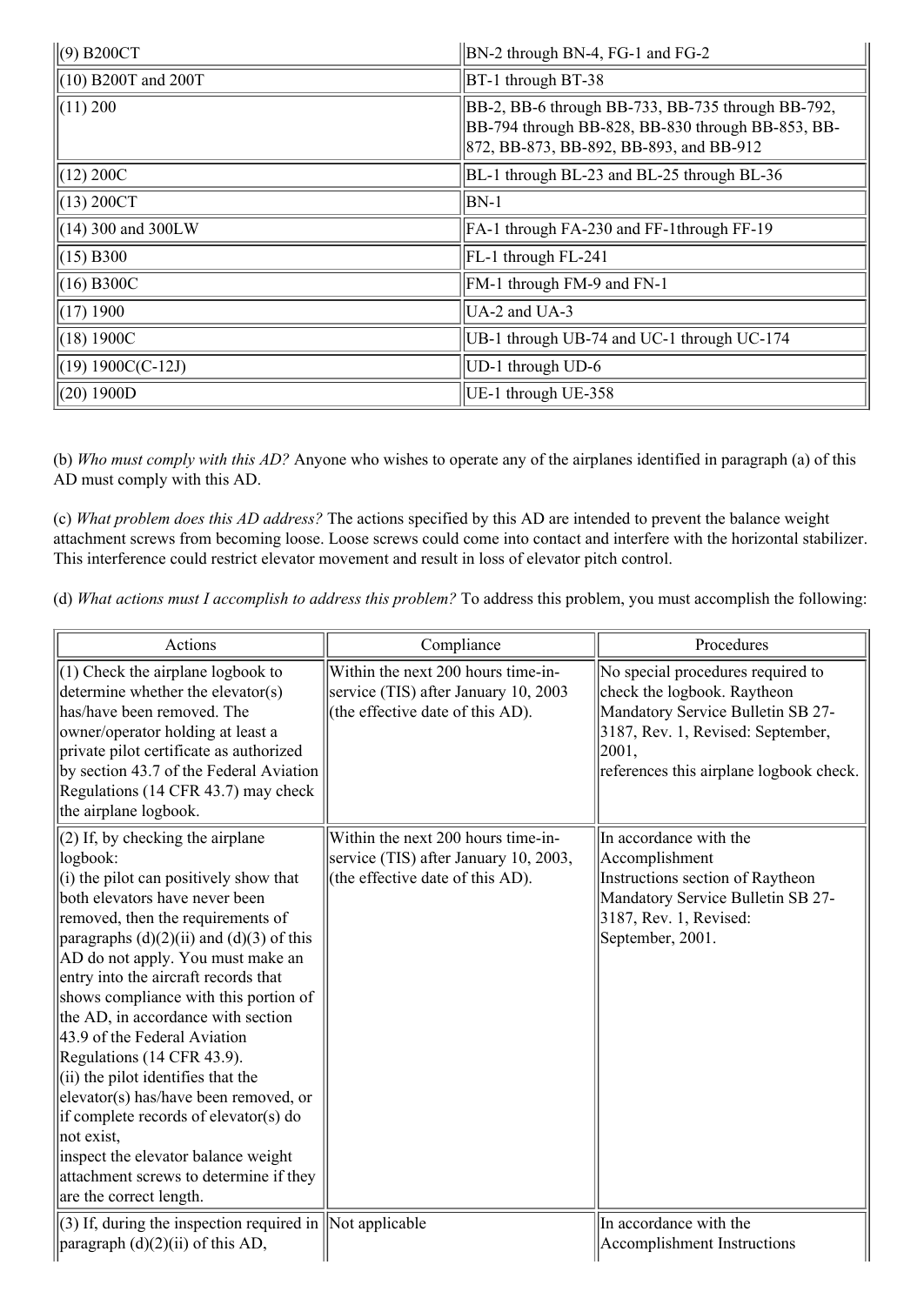| $\ $ (9) B200CT           | BN-2 through BN-4, FG-1 and FG-2                                                                                                                  |  |
|---------------------------|---------------------------------------------------------------------------------------------------------------------------------------------------|--|
| $\ $ (10) B200T and 200T  | BT-1 through BT-38                                                                                                                                |  |
| $\left  (11) 200 \right $ | BB-2, BB-6 through BB-733, BB-735 through BB-792,<br>BB-794 through BB-828, BB-830 through BB-853, BB-<br>872, BB-873, BB-892, BB-893, and BB-912 |  |
| $\ $ (12) 200C            | BL-1 through BL-23 and BL-25 through BL-36                                                                                                        |  |
| $\ $ (13) 200CT           | $BN-1$                                                                                                                                            |  |
| $\ $ (14) 300 and 300LW   | FA-1 through FA-230 and FF-1through FF-19                                                                                                         |  |
| $\ $ (15) B300            | FL-1 through FL-241                                                                                                                               |  |
| $(16)$ B300C              | FM-1 through FM-9 and FN-1                                                                                                                        |  |
| $\parallel$ (17) 1900     | $UA-2$ and $UA-3$                                                                                                                                 |  |
| $\ $ (18) 1900C           | UB-1 through UB-74 and UC-1 through UC-174                                                                                                        |  |
| $\ $ (19) 1900C(C-12J)    | UD-1 through UD-6                                                                                                                                 |  |
| (20) 1900D                | UE-1 through UE-358                                                                                                                               |  |

(b) *Who must comply with this AD?* Anyone who wishes to operate any of the airplanes identified in paragraph (a) of this AD must comply with this AD.

(c) *What problem does this AD address?* The actions specified by this AD are intended to prevent the balance weight attachment screws from becoming loose. Loose screws could come into contact and interfere with the horizontal stabilizer. This interference could restrict elevator movement and result in loss of elevator pitch control.

(d) *What actions must I accomplish to address this problem?* To address this problem, you must accomplish the following:

| Actions                                                                                                                                                                                                                                                                                                                                                                                                                                                                                                                                                                                                                                                                                        | Compliance                                                                                                      | Procedures                                                                                                                                                                                      |
|------------------------------------------------------------------------------------------------------------------------------------------------------------------------------------------------------------------------------------------------------------------------------------------------------------------------------------------------------------------------------------------------------------------------------------------------------------------------------------------------------------------------------------------------------------------------------------------------------------------------------------------------------------------------------------------------|-----------------------------------------------------------------------------------------------------------------|-------------------------------------------------------------------------------------------------------------------------------------------------------------------------------------------------|
| $(1)$ Check the airplane logbook to<br>determine whether the elevator(s)<br>has/have been removed. The<br>owner/operator holding at least a<br>private pilot certificate as authorized<br>by section 43.7 of the Federal Aviation<br>Regulations (14 CFR 43.7) may check<br>the airplane logbook.                                                                                                                                                                                                                                                                                                                                                                                              | Within the next 200 hours time-in-<br>service (TIS) after January 10, 2003<br>(the effective date of this AD).  | No special procedures required to<br>check the logbook. Raytheon<br>Mandatory Service Bulletin SB 27-<br>3187, Rev. 1, Revised: September,<br> 2001,<br>references this airplane logbook check. |
| $(2)$ If, by checking the airplane<br>logbook:<br>$(i)$ the pilot can positively show that<br>both elevators have never been<br>removed, then the requirements of<br>paragraphs $(d)(2)(ii)$ and $(d)(3)$ of this<br>AD do not apply. You must make an<br>entry into the aircraft records that<br>shows compliance with this portion of<br>the AD, in accordance with section<br>43.9 of the Federal Aviation<br>Regulations (14 CFR 43.9).<br>$(i)$ the pilot identifies that the<br>elevator(s) has/have been removed, or<br>if complete records of elevator(s) do<br>not exist,<br>inspect the elevator balance weight<br>attachment screws to determine if they<br>are the correct length. | Within the next 200 hours time-in-<br>service (TIS) after January 10, 2003,<br>(the effective date of this AD). | In accordance with the<br>Accomplishment<br>Instructions section of Raytheon<br>Mandatory Service Bulletin SB 27-<br>3187, Rev. 1, Revised:<br>September, 2001.                                 |
| $(3)$ If, during the inspection required in  Not applicable<br>paragraph (d)(2)(ii) of this AD,                                                                                                                                                                                                                                                                                                                                                                                                                                                                                                                                                                                                |                                                                                                                 | In accordance with the<br>Accomplishment Instructions                                                                                                                                           |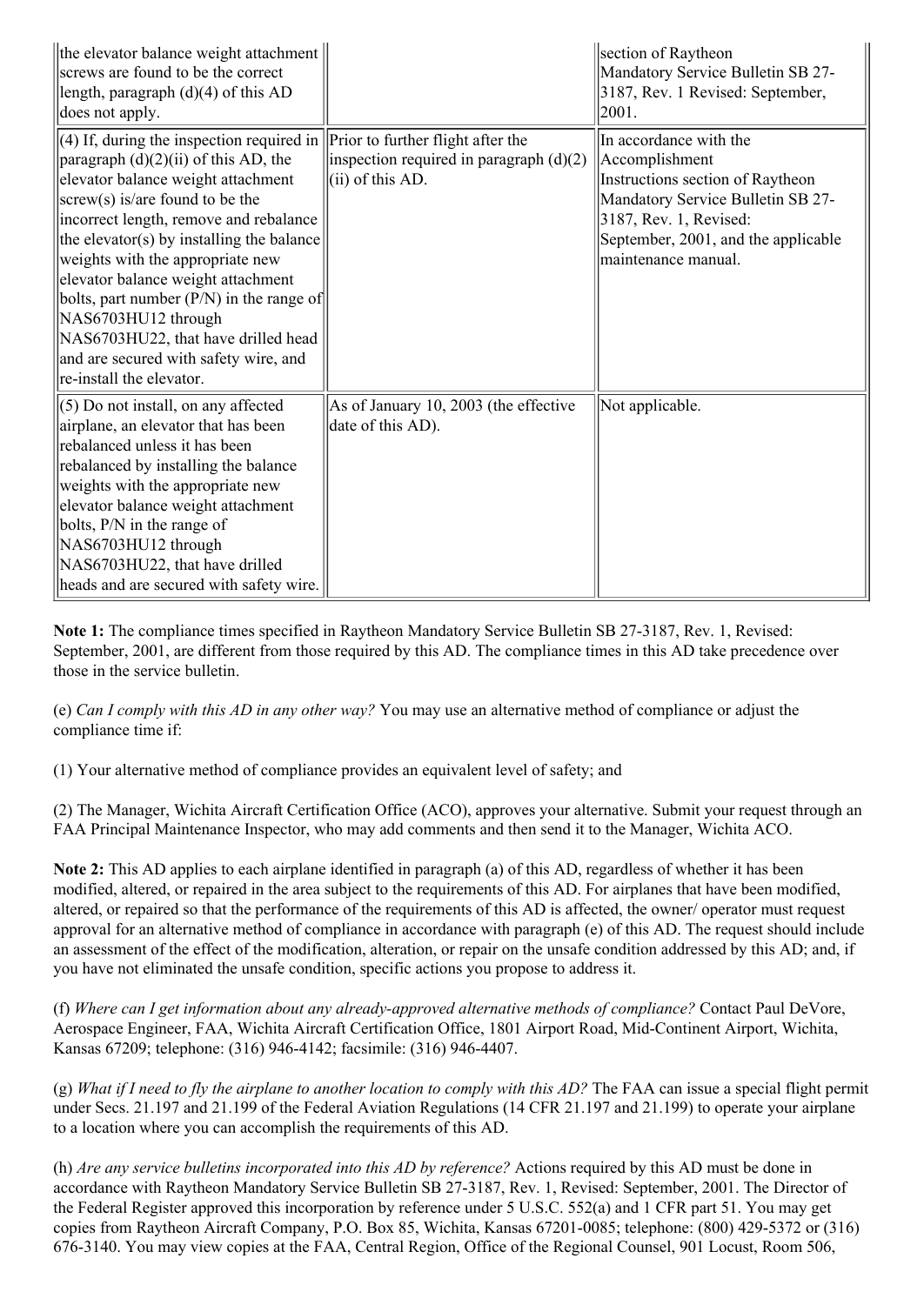| the elevator balance weight attachment<br>screws are found to be the correct<br>length, paragraph $(d)(4)$ of this AD<br>does not apply.                                                                                                                                                                                                                                                                                                                                                                                                                             |                                                                  | section of Raytheon<br>Mandatory Service Bulletin SB 27-<br>3187, Rev. 1 Revised: September,<br>2001.                                                                                                     |
|----------------------------------------------------------------------------------------------------------------------------------------------------------------------------------------------------------------------------------------------------------------------------------------------------------------------------------------------------------------------------------------------------------------------------------------------------------------------------------------------------------------------------------------------------------------------|------------------------------------------------------------------|-----------------------------------------------------------------------------------------------------------------------------------------------------------------------------------------------------------|
| $(4)$ If, during the inspection required in Prior to further flight after the<br>$\frac{1}{2}$ paragraph $(d)(2)(ii)$ of this AD, the<br>elevator balance weight attachment<br>$ s$ crew(s) is/are found to be the<br>incorrect length, remove and rebalance<br>the elevator(s) by installing the balance<br>weights with the appropriate new<br>elevator balance weight attachment<br>bolts, part number $(P/N)$ in the range of<br>NAS6703HU12 through<br>NAS6703HU22, that have drilled head<br>and are secured with safety wire, and<br>re-install the elevator. | inspection required in paragraph $(d)(2)$<br>$(iii)$ of this AD. | In accordance with the<br>Accomplishment<br>Instructions section of Raytheon<br>Mandatory Service Bulletin SB 27-<br>3187, Rev. 1, Revised:<br>September, 2001, and the applicable<br>maintenance manual. |
| $(5)$ Do not install, on any affected<br>airplane, an elevator that has been<br>rebalanced unless it has been<br>rebalanced by installing the balance<br>weights with the appropriate new<br>elevator balance weight attachment<br>bolts, P/N in the range of<br>NAS6703HU12 through<br>NAS6703HU22, that have drilled<br>heads and are secured with safety wire.                                                                                                                                                                                                    | As of January 10, 2003 (the effective<br>date of this AD).       | Not applicable.                                                                                                                                                                                           |

**Note 1:** The compliance times specified in Raytheon Mandatory Service Bulletin SB 27-3187, Rev. 1, Revised: September, 2001, are different from those required by this AD. The compliance times in this AD take precedence over those in the service bulletin.

(e) *Can I comply with this AD in any other way?* You may use an alternative method of compliance or adjust the compliance time if:

(1) Your alternative method of compliance provides an equivalent level of safety; and

(2) The Manager, Wichita Aircraft Certification Office (ACO), approves your alternative. Submit your request through an FAA Principal Maintenance Inspector, who may add comments and then send it to the Manager, Wichita ACO.

**Note 2:** This AD applies to each airplane identified in paragraph (a) of this AD, regardless of whether it has been modified, altered, or repaired in the area subject to the requirements of this AD. For airplanes that have been modified, altered, or repaired so that the performance of the requirements of this AD is affected, the owner/ operator must request approval for an alternative method of compliance in accordance with paragraph (e) of this AD. The request should include an assessment of the effect of the modification, alteration, or repair on the unsafe condition addressed by this AD; and, if you have not eliminated the unsafe condition, specific actions you propose to address it.

(f) *Where can I get information about any alreadyapproved alternative methods of compliance?* Contact Paul DeVore, Aerospace Engineer, FAA, Wichita Aircraft Certification Office, 1801 Airport Road, Mid-Continent Airport, Wichita, Kansas 67209; telephone: (316) 946-4142; facsimile: (316) 946-4407.

(g) What if I need to fly the airplane to another location to comply with this  $AD$ ? The FAA can issue a special flight permit under Secs. 21.197 and 21.199 of the Federal Aviation Regulations (14 CFR 21.197 and 21.199) to operate your airplane to a location where you can accomplish the requirements of this AD.

(h) *Are any service bulletins incorporated into this AD by reference?* Actions required by this AD must be done in accordance with Raytheon Mandatory Service Bulletin SB 27-3187, Rev. 1, Revised: September, 2001. The Director of the Federal Register approved this incorporation by reference under 5 U.S.C. 552(a) and 1 CFR part 51. You may get copies from Raytheon Aircraft Company, P.O. Box 85, Wichita, Kansas 67201-0085; telephone: (800) 429-5372 or (316) 6763140. You may view copies at the FAA, Central Region, Office of the Regional Counsel, 901 Locust, Room 506,